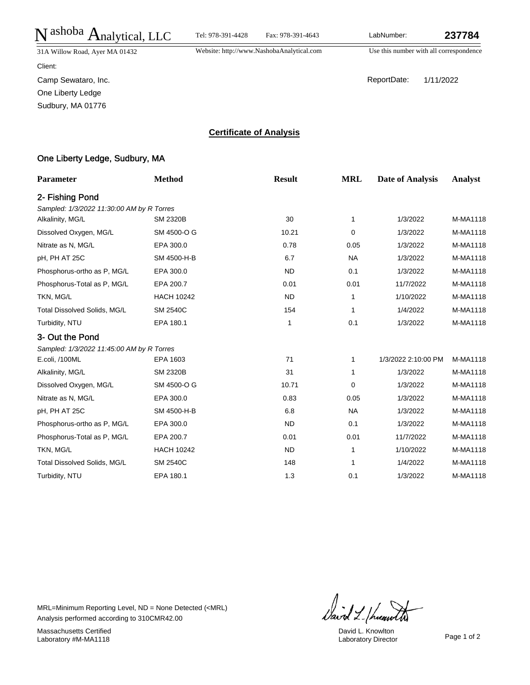## N<sup>ashoba</sup> Analytical, LLC

Client: One Liberty Ledge Su

 $2-$ 

 $3-$ 

David L. Knowlton Exposition Director Page 1 of 2

nd L/huaw

| Sudbury, MA 01776                         |                   |                                |            |                         |          |  |  |  |  |
|-------------------------------------------|-------------------|--------------------------------|------------|-------------------------|----------|--|--|--|--|
|                                           |                   | <b>Certificate of Analysis</b> |            |                         |          |  |  |  |  |
| One Liberty Ledge, Sudbury, MA            |                   |                                |            |                         |          |  |  |  |  |
| Parameter                                 | <b>Method</b>     | <b>Result</b>                  | <b>MRL</b> | <b>Date of Analysis</b> | Analyst  |  |  |  |  |
| 2- Fishing Pond                           |                   |                                |            |                         |          |  |  |  |  |
| Sampled: 1/3/2022 11:30:00 AM by R Torres |                   |                                |            |                         |          |  |  |  |  |
| Alkalinity, MG/L                          | <b>SM 2320B</b>   | 30                             | 1          | 1/3/2022                | M-MA1118 |  |  |  |  |
| Dissolved Oxygen, MG/L                    | SM 4500-O G       | 10.21                          | 0          | 1/3/2022                | M-MA1118 |  |  |  |  |
| Nitrate as N, MG/L                        | EPA 300.0         | 0.78                           | 0.05       | 1/3/2022                | M-MA1118 |  |  |  |  |
| pH, PH AT 25C                             | SM 4500-H-B       | 6.7                            | <b>NA</b>  | 1/3/2022                | M-MA1118 |  |  |  |  |
| Phosphorus-ortho as P, MG/L               | EPA 300.0         | <b>ND</b>                      | 0.1        | 1/3/2022                | M-MA1118 |  |  |  |  |
| Phosphorus-Total as P, MG/L               | EPA 200.7         | 0.01                           | 0.01       | 11/7/2022               | M-MA1118 |  |  |  |  |
| tkn, Mg/L                                 | <b>HACH 10242</b> | <b>ND</b>                      | 1          | 1/10/2022               | M-MA1118 |  |  |  |  |
| Total Dissolved Solids, MG/L              | <b>SM 2540C</b>   | 154                            | 1          | 1/4/2022                | M-MA1118 |  |  |  |  |
| Turbidity, NTU                            | EPA 180.1         | 1                              | 0.1        | 1/3/2022                | M-MA1118 |  |  |  |  |
| 3- Out the Pond                           |                   |                                |            |                         |          |  |  |  |  |
| Sampled: 1/3/2022 11:45:00 AM by R Torres |                   |                                |            |                         |          |  |  |  |  |
| E.coli, /100ML                            | EPA 1603          | 71                             | 1          | 1/3/2022 2:10:00 PM     | M-MA1118 |  |  |  |  |
| Alkalinity, MG/L                          | <b>SM 2320B</b>   | 31                             | 1          | 1/3/2022                | M-MA1118 |  |  |  |  |
| Dissolved Oxygen, MG/L                    | SM 4500-O G       | 10.71                          | 0          | 1/3/2022                | M-MA1118 |  |  |  |  |
| Nitrate as N, MG/L                        | EPA 300.0         | 0.83                           | 0.05       | 1/3/2022                | M-MA1118 |  |  |  |  |
| pH, PH AT 25C                             | SM 4500-H-B       | 6.8                            | <b>NA</b>  | 1/3/2022                | M-MA1118 |  |  |  |  |
| Phosphorus-ortho as P, MG/L               | EPA 300.0         | <b>ND</b>                      | 0.1        | 1/3/2022                | M-MA1118 |  |  |  |  |
| Phosphorus-Total as P, MG/L               | EPA 200.7         | 0.01                           | 0.01       | 11/7/2022               | M-MA1118 |  |  |  |  |
| TKN, MG/L                                 | <b>HACH 10242</b> | <b>ND</b>                      | 1          | 1/10/2022               | M-MA1118 |  |  |  |  |
| Total Dissolved Solids, MG/L              | SM 2540C          | 148                            | 1          | 1/4/2022                | M-MA1118 |  |  |  |  |

Turbidity, NTU **EPA 180.1** 1.3 0.1 1/3/2022 M-MA1118

31A Willow Road, Ayer MA 01432 Website: http://www.NashobaAnalytical.com

Tel: 978-391-4428 Fax: 978-391-4643 LabNumber: **237784**

Use this number with all correspondence

Camp Sewataro, Inc. **Camp Sewataro, Inc.** ReportDate: 1/11/2022